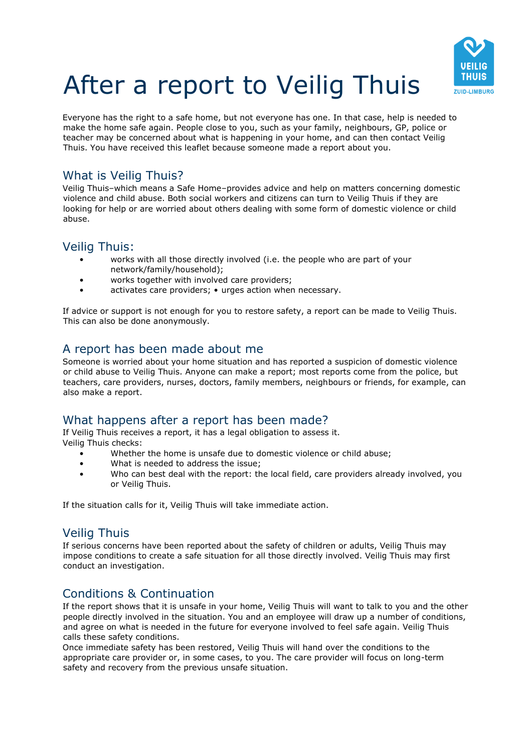

# After a report to Veilig Thuis

Everyone has the right to a safe home, but not everyone has one. In that case, help is needed to make the home safe again. People close to you, such as your family, neighbours, GP, police or teacher may be concerned about what is happening in your home, and can then contact Veilig Thuis. You have received this leaflet because someone made a report about you.

# What is Veilig Thuis?

Veilig Thuis–which means a Safe Home–provides advice and help on matters concerning domestic violence and child abuse. Both social workers and citizens can turn to Veilig Thuis if they are looking for help or are worried about others dealing with some form of domestic violence or child abuse.

# Veilig Thuis:

- works with all those directly involved (i.e. the people who are part of your network/family/household);
- works together with involved care providers;
- activates care providers; urges action when necessary.

If advice or support is not enough for you to restore safety, a report can be made to Veilig Thuis. This can also be done anonymously.

# A report has been made about me

Someone is worried about your home situation and has reported a suspicion of domestic violence or child abuse to Veilig Thuis. Anyone can make a report; most reports come from the police, but teachers, care providers, nurses, doctors, family members, neighbours or friends, for example, can also make a report.

# What happens after a report has been made?

If Veilig Thuis receives a report, it has a legal obligation to assess it. Veilig Thuis checks:

- Whether the home is unsafe due to domestic violence or child abuse;
- What is needed to address the issue;
- Who can best deal with the report: the local field, care providers already involved, you or Veilig Thuis.

If the situation calls for it, Veilig Thuis will take immediate action.

# Veilig Thuis

If serious concerns have been reported about the safety of children or adults, Veilig Thuis may impose conditions to create a safe situation for all those directly involved. Veilig Thuis may first conduct an investigation.

# Conditions & Continuation

If the report shows that it is unsafe in your home, Veilig Thuis will want to talk to you and the other people directly involved in the situation. You and an employee will draw up a number of conditions, and agree on what is needed in the future for everyone involved to feel safe again. Veilig Thuis calls these safety conditions.

Once immediate safety has been restored, Veilig Thuis will hand over the conditions to the appropriate care provider or, in some cases, to you. The care provider will focus on long-term safety and recovery from the previous unsafe situation.